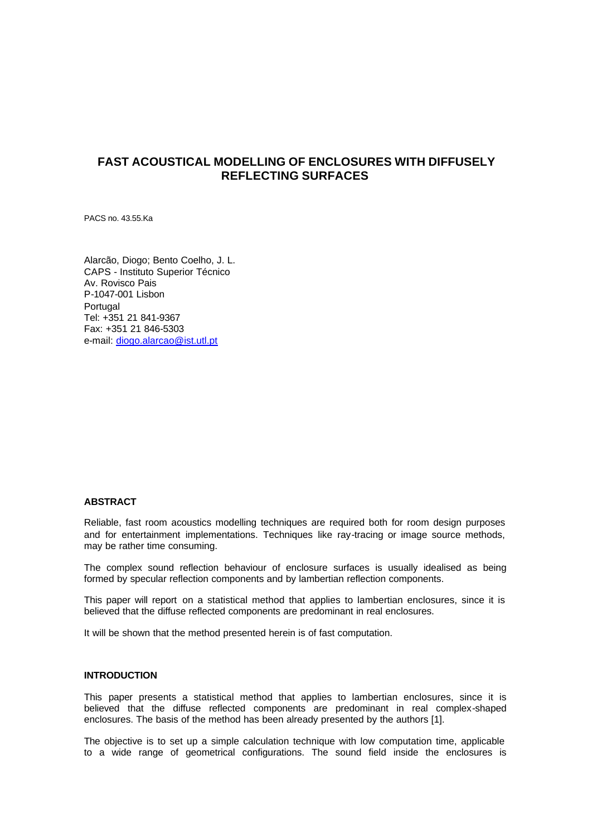# **FAST ACOUSTICAL MODELLING OF ENCLOSURES WITH DIFFUSELY REFLECTING SURFACES**

PACS no. 43.55.Ka

Alarcão, Diogo; Bento Coelho, J. L. CAPS - Instituto Superior Técnico Av. Rovisco Pais P-1047-001 Lisbon Portugal Tel: +351 21 841-9367 Fax: +351 21 846-5303 e-mail: diogo.alarcao@ist.utl.pt

# **ABSTRACT**

Reliable, fast room acoustics modelling techniques are required both for room design purposes and for entertainment implementations. Techniques like ray-tracing or image source methods, may be rather time consuming.

The complex sound reflection behaviour of enclosure surfaces is usually idealised as being formed by specular reflection components and by lambertian reflection components.

This paper will report on a statistical method that applies to lambertian enclosures, since it is believed that the diffuse reflected components are predominant in real enclosures.

It will be shown that the method presented herein is of fast computation.

# **INTRODUCTION**

This paper presents a statistical method that applies to lambertian enclosures, since it is believed that the diffuse reflected components are predominant in real complex-shaped enclosures. The basis of the method has been already presented by the authors [1].

The objective is to set up a simple calculation technique with low computation time, applicable to a wide range of geometrical configurations. The sound field inside the enclosures is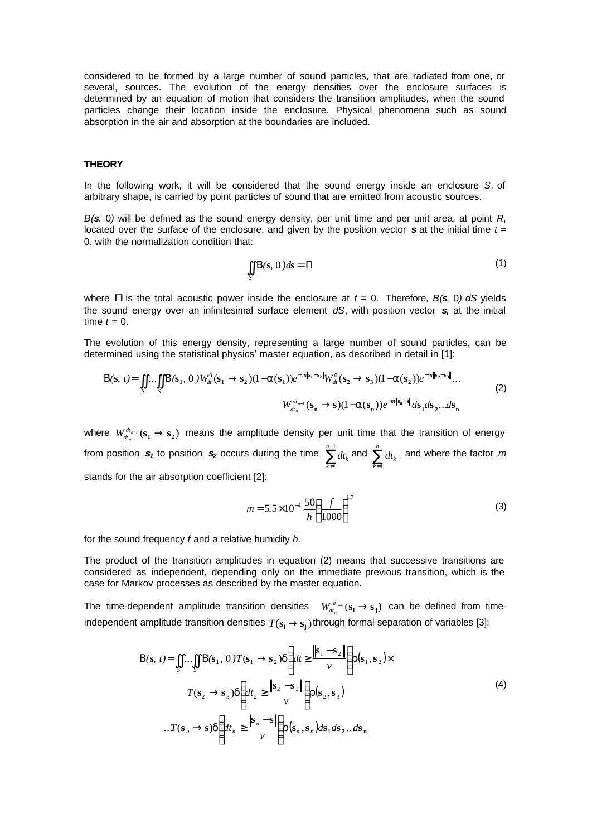considered to be formed by a large number of sound particles, that are radiated from one, or several, sources. The evolution of the energy densities over the enclosure surfaces is determined by an equation of motion that considers the transition amplitudes, when the sound particles change their location inside the enclosure. Physical phenomena such as sound absorption in the air and absorption at the boundaries are included.

### **THEORY**

In the following work, it will be considered that the sound energy inside an enclosure *S*, of arbitrary shape, is carried by point particles of sound that are emitted from acoustic sources.

*B(s,* 0*)* will be defined as the sound energy density, per unit time and per unit area, at point *R*, located over the surface of the enclosure, and given by the position vector *s* at the initial time *t =*  0, with the normalization condition that:

$$
\iint\limits_{S} B(s, 0) ds = P \tag{1}
$$

where **P** is the total acoustic power inside the enclosure at  $t = 0$ . Therefore,  $B(\mathbf{s}, 0)$  dS yields the sound energy over an infinitesimal surface element *dS*, with position vector *s*, at the initial time  $t = 0$ .

The evolution of this energy density, representing a large number of sound particles, can be determined using the statistical physics' master equation, as described in detail in [1]:

$$
B(s, t) = \iint_{S} \ldots \iint_{S} B(s_1, 0) W_{dt}^{0}(s_1 \to s_2) (1 - a(s_1)) e^{-m|s_1 - s_2|} W_{dt}^{0}(s_2 \to s_3) (1 - a(s_2)) e^{-m|s_2 - s_3|} \ldots
$$
  
\n
$$
W_{dt_n}^{d_{t_{n-1}}}(s_n \to s) (1 - a(s_n)) e^{-m|s_n - s|} ds_1 ds_2 \ldots ds_n
$$
\n(2)

where  $W_{dt_n-1}^{dt_{n-1}}(\mathbf{s_1} \to \mathbf{s_2})$  means the amplitude density per unit time that the transition of energy from position  $s_1$  to position  $s_2$  occurs during the time  $\sum_{n=1}^{n-1}$ = 1 1 *n*  $\sum_{k=1}^{n-1} dt_k$  and  $\sum_{k=1}^{n}$  $\sum_{k=1}$  dt<sub>k</sub> , and where the factor *m* stands for the air absorption coefficient [2]:

$$
m = 5.5 \times 10^{-4} \frac{50}{h} \left(\frac{f}{1000}\right)^{1.7}
$$
 (3)

for the sound frequency *f* and a relative humidity *h*.

The product of the transition amplitudes in equation (2) means that successive transitions are considered as independent, depending only on the immediate previous transition, which is the case for Markov processes as described by the master equation.

The time-dependent amplitude transition densities  $W_{dt_n-1}^{d t_{n-1}}(s_i \rightarrow s_j)$  can be defined from timeindependent amplitude transition densities  $T(s_i \rightarrow s_j)$  through formal separation of variables [3]:

$$
B(s, t) = \iint_{S} \dots \iint_{S} B(s_1, 0) T(s_1 \to s_2) d\left(dt \ge \frac{\|s_1 - s_2\|}{\nu}\right) r(s_1, s_2) \times
$$
  

$$
T(s_2 \to s_3) d\left(dt_2 \ge \frac{\|s_2 - s_3\|}{\nu}\right) r(s_2, s_3)
$$
  

$$
\dots T(s_n \to s) d\left(dt_n \ge \frac{\|s_n - s\|}{\nu}\right) r(s_n, s_n) ds_1 ds_2 \dots ds_n
$$
 (4)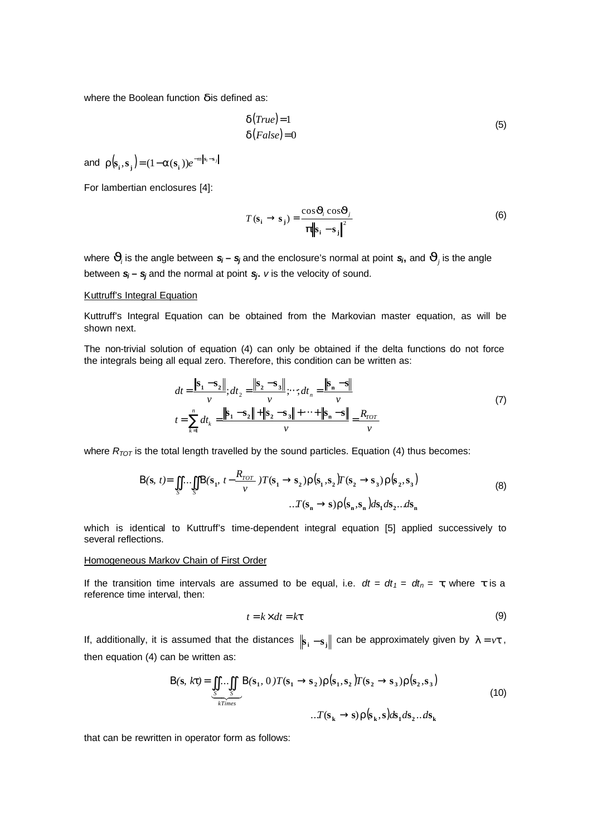where the Boolean function **d** is defined as:

$$
\mathbf{d}(True) = 1 \tag{5}
$$

$$
\mathbf{d}(False) = 0 \tag{6}
$$

and  $\boldsymbol{r}(\mathbf{s}_i, \mathbf{s}_j) = (1-\boldsymbol{a}(\mathbf{s}_i))e^{-m\|\mathbf{s}_i-\mathbf{s}_j\|}$  $\bf{r}$ ( $\bf{s}_i$ , $\bf{s}_j$ ) = (1–*a*( $\bf{s}_i$ )) $e^{-m|\bf{s}_i-}$ 

For lambertian enclosures [4]:

$$
T(\mathbf{s}_i \rightarrow \mathbf{s}_j) = \frac{\cos \mathbf{J}_i \cos \mathbf{J}_j}{\mathbf{p} \|\mathbf{s}_i - \mathbf{s}_j\|^2}
$$
 (6)

where  $J_i$  is the angle between  $s_i$  –  $s_j$  and the enclosure's normal at point  $s_i$ , and  $J_j$  is the angle between *si* **–** *sj* and the normal at point *s<sup>j</sup>* **.** *v* is the velocity of sound.

# Kuttruff's Integral Equation

Kuttruff's Integral Equation can be obtained from the Markovian master equation, as will be shown next.

The non-trivial solution of equation (4) can only be obtained if the delta functions do not force the integrals being all equal zero. Therefore, this condition can be written as:

$$
dt = \frac{\left|\mathbf{s}_1 - \mathbf{s}_2\right|}{\nu}; dt_2 = \frac{\left|\left|\mathbf{s}_2 - \mathbf{s}_3\right|\right|}{\nu}; \cdots; dt_n = \frac{\left|\mathbf{s}_n - \mathbf{s}\right|}{\nu}
$$
  
\n
$$
t = \sum_{k=1}^n dt_k = \frac{\left|\left|\mathbf{s}_1 - \mathbf{s}_2\right|\right| + \left|\left|\mathbf{s}_2 - \mathbf{s}_3\right|\right| + \cdots + \left|\left|\mathbf{s}_n - \mathbf{s}\right|\right|}{\nu} = \frac{R_{TOT}}{\nu}
$$
 (7)

where  $R_{TOT}$  is the total length travelled by the sound particles. Equation (4) thus becomes:

$$
\mathbf{B}(\mathbf{s}, t) = \iint_{S} \dots \iint_{S} \mathbf{B}(\mathbf{s}_{1}, t - \frac{R_{TOT}}{v}) T(\mathbf{s}_{1} \rightarrow \mathbf{s}_{2}) \mathbf{r}(\mathbf{s}_{1}, \mathbf{s}_{2}) T(\mathbf{s}_{2} \rightarrow \mathbf{s}_{3}) \mathbf{r}(\mathbf{s}_{2}, \mathbf{s}_{3})
$$
  

$$
\dots T(\mathbf{s}_{n} \rightarrow \mathbf{s}) \mathbf{r}(\mathbf{s}_{n}, \mathbf{s}_{n}) d\mathbf{s}_{1} d\mathbf{s}_{2} \dots d\mathbf{s}_{n}
$$
 (8)

which is identical to Kuttruff's time-dependent integral equation [5] applied successively to several reflections.

# Homogeneous Markov Chain of First Order

If the transition time intervals are assumed to be equal, i.e.  $dt = dt_1 = dt_n = t$ , where t is a reference time interval, then:

$$
t = k \times dt = kt \tag{9}
$$

If, additionally, it is assumed that the distances  $\|\mathbf{s}_i - \mathbf{s}_j\|$  can be approximately given by  $I = vt$ , then equation (4) can be written as:

$$
B(s, kt) = \iint_{S} \iint_{S} B(s_1, 0) T(s_1 \to s_2) r(s_1, s_2) T(s_2 \to s_3) r(s_2, s_3)
$$
  

$$
\iint_{R} T^{s} = \iint_{R} \iint_{S} T(s_1, 0) T(s_1 \to s_2) r(s_1, s_2) T(s_2 \to s_3) r(s_2, s_3)
$$
  

$$
\iint_{R} S_s
$$
 (10)

that can be rewritten in operator form as follows: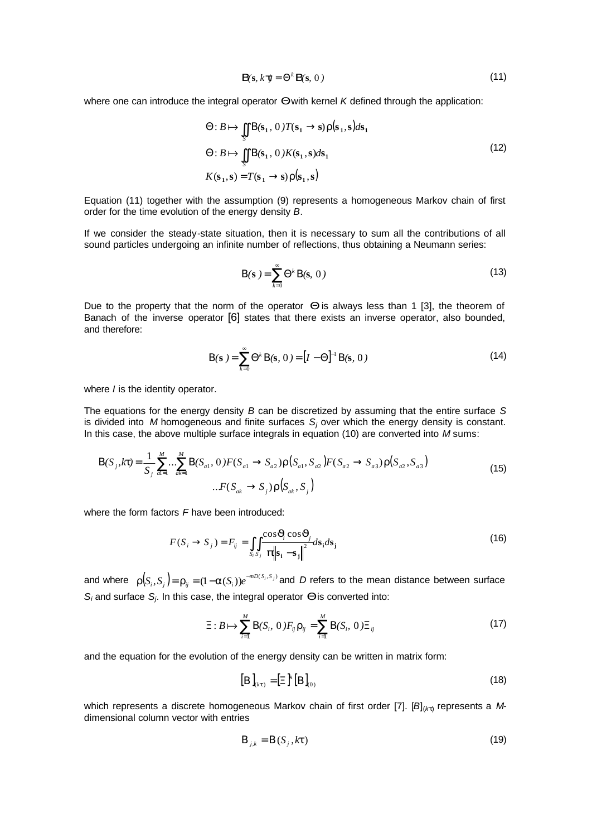$$
\boldsymbol{B}\mathbf{s}, k\,\boldsymbol{t}=\Theta^k\,\boldsymbol{B}\mathbf{s},\,0\tag{11}
$$

where one can introduce the integral operator *Q* with kernel *K* defined through the application:

$$
\Theta: B \mapsto \iint_{S} B(\mathbf{s}_1, 0) T(\mathbf{s}_1 \to \mathbf{s}) \mathbf{r}(\mathbf{s}_1, \mathbf{s}) d\mathbf{s}_1
$$
  
\n
$$
\Theta: B \mapsto \iint_{S} B(\mathbf{s}_1, 0) K(\mathbf{s}_1, \mathbf{s}) d\mathbf{s}_1
$$
  
\n
$$
K(\mathbf{s}_1, \mathbf{s}) = T(\mathbf{s}_1 \to \mathbf{s}) \mathbf{r}(\mathbf{s}_1, \mathbf{s})
$$
\n(12)

Equation (11) together with the assumption (9) represents a homogeneous Markov chain of first order for the time evolution of the energy density *B*.

If we consider the steady-state situation, then it is necessary to sum all the contributions of all sound particles undergoing an infinite number of reflections, thus obtaining a Neumann series:

$$
\mathbf{B}(\mathbf{s}) = \sum_{k=0}^{\infty} \Theta^k \, \mathbf{B}(\mathbf{s}, \, 0 \,)
$$

Due to the property that the norm of the operator *Q* is always less than 1 [3], the theorem of Banach of the inverse operator [6] states that there exists an inverse operator, also bounded, and therefore:

$$
B(s) = \sum_{k=0}^{\infty} \Theta^{k} B(s, 0) = [I - \Theta]^{-1} B(s, 0)
$$
 (14)

where *I* is the identity operator.

The equations for the energy density *B* can be discretized by assuming that the entire surface *S* is divided into  $M$  homogeneous and finite surfaces  $S_j$  over which the energy density is constant. In this case, the above multiple surface integrals in equation (10) are converted into *M* sums:

$$
\mathbf{B}(S_j, k\mathbf{t}) = \frac{1}{S_j} \sum_{a=1}^{M} \dots \sum_{ak=1}^{M} \mathbf{B}(S_{a1}, 0) F(S_{a1} \to S_{a2}) \mathbf{r}(S_{a1}, S_{a2}) F(S_{a2} \to S_{a3}) \mathbf{r}(S_{a2}, S_{a3})
$$
\n
$$
\dots F(S_{ak} \to S_j) \mathbf{r}(S_{ak}, S_j)
$$
\n(15)

where the form factors *F* have been introduced:

$$
F(S_i \to S_j) = F_{ij} = \iint_{S_i S_j} \frac{\cos J_i \cos J_j}{\left| \mathbf{p} \right| \left| \mathbf{s}_i - \mathbf{s}_j \right|} d\mathbf{s}_i ds_j \tag{16}
$$

and where  $r(S_i, S_j)$ =  $r_{ij}$  = (1- $a(S_i)$ ) $e^{-mD(S_i, S_j)}$  and D refers to the mean distance between surface *Si* and surface *S<sup>j</sup>* . In this case, the integral operator *Q* is converted into:

$$
\Xi: B \mapsto \sum_{i=1}^{M} B(S_i, 0) F_{ij} \mathbf{r}_{ij} = \sum_{i=1}^{M} B(S_i, 0) \Xi_{ij}
$$
 (17)

and the equation for the evolution of the energy density can be written in matrix form:

$$
\left[\mathbf{B}\right]_{(kt)} = \left[\Xi\right]^k \left[\mathbf{B}\right]_{(0)}\tag{18}
$$

which represents a discrete homogeneous Markov chain of first order [7]. [B]<sub>(kt)</sub> represents a Mdimensional column vector with entries

$$
\boldsymbol{B}_{j,k} = \boldsymbol{B}(S_j, k\boldsymbol{t})\tag{19}
$$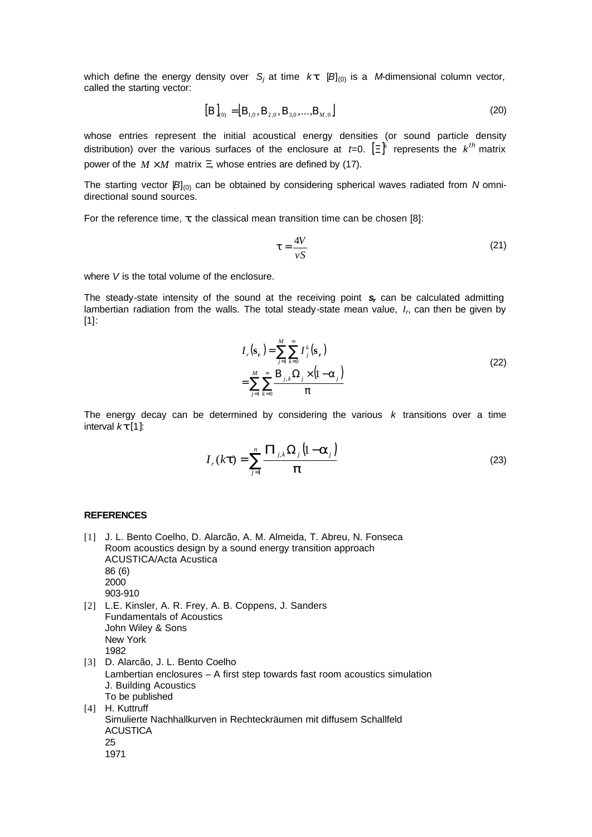which define the energy density over  $S_j$  at time  $k$ *t*.  $[B]_{(0)}$  is a *M*-dimensional column vector, called the starting vector:

$$
[\boldsymbol{B}]_{(0)} = [\boldsymbol{B}_{1,0}, \boldsymbol{B}_{2,0}, \boldsymbol{B}_{3,0}, \dots, \boldsymbol{B}_{M,0}]
$$
\n(20)

whose entries represent the initial acoustical energy densities (or sound particle density distribution) over the various surfaces of the enclosure at *t*=0.  $[\Xi]^k$  represents the  $k^{th}$  matrix power of the  $M \times M$  matrix X whose entries are defined by (17).

The starting vector [B]<sub>(0)</sub> can be obtained by considering spherical waves radiated from *N* omnidirectional sound sources.

For the reference time, *t*, the classical mean transition time can be chosen [8]:

$$
t = \frac{4V}{vS} \tag{21}
$$

where *V* is the total volume of the enclosure.

The steady-state intensity of the sound at the receiving point *s<sup>r</sup>* can be calculated admitting lambertian radiation from the walls. The total steady-state mean value, I<sub>n</sub> can then be given by [1]:

$$
I_r(\mathbf{s_r}) = \sum_{j=1}^{M} \sum_{k=0}^{\infty} I_j^k(\mathbf{s_r})
$$
  
= 
$$
\sum_{j=1}^{M} \sum_{k=0}^{\infty} \frac{\mathbf{B}_{j,k} \Omega_j \times (1 - \mathbf{a}_j)}{\mathbf{p}}
$$
 (22)

The energy decay can be determined by considering the various *k* transitions over a time interval *kt* [1]:

$$
I_r(kt) = \sum_{j=1}^n \frac{\boldsymbol{P}_{j,k} \Omega_j \left(1 - \boldsymbol{a}_j\right)}{\boldsymbol{p}}
$$
\n(23)

# **REFERENCES**

ACUSTICA

25 1971

[1] J. L. Bento Coelho, D. Alarcão, A. M. Almeida, T. Abreu, N. Fonseca Room acoustics design by a sound energy transition approach ACUSTICA/Acta Acustica 86 (6) 2000 903-910 [2] L.E. Kinsler, A. R. Frey, A. B. Coppens, J. Sanders Fundamentals of Acoustics John Wiley & Sons New York 1982 [3] D. Alarcão, J. L. Bento Coelho Lambertian enclosures – A first step towards fast room acoustics simulation J. Building Acoustics To be published [4] H. Kuttruff Simulierte Nachhallkurven in Rechteckräumen mit diffusem Schallfeld